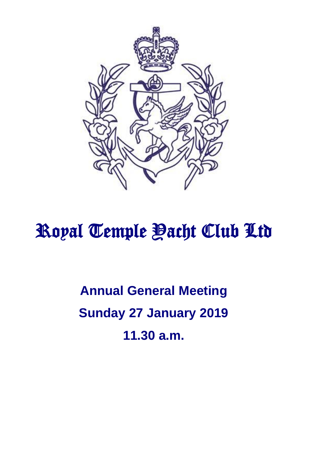

# Royal Temple <u>Pacht</u> Club Ltd

**Annual General Meeting Sunday 27 January 2019 11.30 a.m.**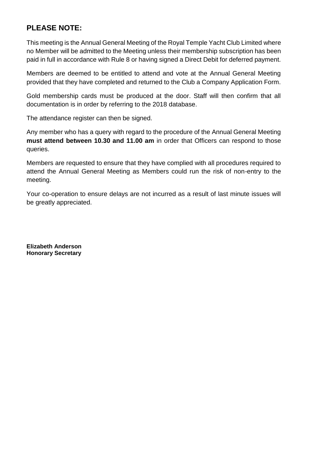# **PLEASE NOTE:**

This meeting is the Annual General Meeting of the Royal Temple Yacht Club Limited where no Member will be admitted to the Meeting unless their membership subscription has been paid in full in accordance with Rule 8 or having signed a Direct Debit for deferred payment.

Members are deemed to be entitled to attend and vote at the Annual General Meeting provided that they have completed and returned to the Club a Company Application Form.

Gold membership cards must be produced at the door. Staff will then confirm that all documentation is in order by referring to the 2018 database.

The attendance register can then be signed.

Any member who has a query with regard to the procedure of the Annual General Meeting **must attend between 10.30 and 11.00 am** in order that Officers can respond to those queries.

Members are requested to ensure that they have complied with all procedures required to attend the Annual General Meeting as Members could run the risk of non-entry to the meeting.

Your co-operation to ensure delays are not incurred as a result of last minute issues will be greatly appreciated.

**Elizabeth Anderson Honorary Secretary**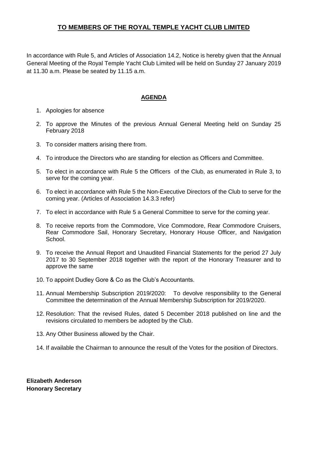# **TO MEMBERS OF THE ROYAL TEMPLE YACHT CLUB LIMITED**

In accordance with Rule 5, and Articles of Association 14.2, Notice is hereby given that the Annual General Meeting of the Royal Temple Yacht Club Limited will be held on Sunday 27 January 2019 at 11.30 a.m. Please be seated by 11.15 a.m.

## **AGENDA**

- 1. Apologies for absence
- 2. To approve the Minutes of the previous Annual General Meeting held on Sunday 25 February 2018
- 3. To consider matters arising there from.
- 4. To introduce the Directors who are standing for election as Officers and Committee.
- 5. To elect in accordance with Rule 5 the Officers of the Club, as enumerated in Rule 3, to serve for the coming year.
- 6. To elect in accordance with Rule 5 the Non-Executive Directors of the Club to serve for the coming year. (Articles of Association 14.3.3 refer)
- 7. To elect in accordance with Rule 5 a General Committee to serve for the coming year.
- 8. To receive reports from the Commodore, Vice Commodore, Rear Commodore Cruisers, Rear Commodore Sail, Honorary Secretary, Honorary House Officer, and Navigation School.
- 9. To receive the Annual Report and Unaudited Financial Statements for the period 27 July 2017 to 30 September 2018 together with the report of the Honorary Treasurer and to approve the same
- 10. To appoint Dudley Gore & Co as the Club's Accountants.
- 11. Annual Membership Subscription 2019/2020: To devolve responsibility to the General Committee the determination of the Annual Membership Subscription for 2019/2020.
- 12. Resolution: That the revised Rules, dated 5 December 2018 published on line and the revisions circulated to members be adopted by the Club.
- 13. Any Other Business allowed by the Chair.
- 14. If available the Chairman to announce the result of the Votes for the position of Directors.

**Elizabeth Anderson Honorary Secretary**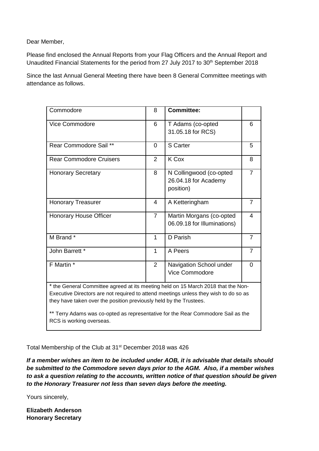Dear Member,

Please find enclosed the Annual Reports from your Flag Officers and the Annual Report and Unaudited Financial Statements for the period from 27 July 2017 to 30<sup>th</sup> September 2018

Since the last Annual General Meeting there have been 8 General Committee meetings with attendance as follows.

| Commodore                                                                                                                                                                                                                                                                                                                                                       | 8              | <b>Committee:</b>                                            |                |
|-----------------------------------------------------------------------------------------------------------------------------------------------------------------------------------------------------------------------------------------------------------------------------------------------------------------------------------------------------------------|----------------|--------------------------------------------------------------|----------------|
| Vice Commodore                                                                                                                                                                                                                                                                                                                                                  | 6              | T Adams (co-opted<br>31.05.18 for RCS)                       | 6              |
| Rear Commodore Sail **                                                                                                                                                                                                                                                                                                                                          | $\Omega$       | <b>S</b> Carter                                              | 5              |
| <b>Rear Commodore Cruisers</b>                                                                                                                                                                                                                                                                                                                                  | $\overline{2}$ | K Cox                                                        | 8              |
| <b>Honorary Secretary</b>                                                                                                                                                                                                                                                                                                                                       | 8              | N Collingwood (co-opted<br>26.04.18 for Academy<br>position) | $\overline{7}$ |
| <b>Honorary Treasurer</b>                                                                                                                                                                                                                                                                                                                                       | 4              | A Ketteringham                                               | $\overline{7}$ |
| <b>Honorary House Officer</b>                                                                                                                                                                                                                                                                                                                                   | $\overline{7}$ | Martin Morgans (co-opted<br>06.09.18 for Illuminations)      | 4              |
| M Brand *                                                                                                                                                                                                                                                                                                                                                       | 1              | D Parish                                                     | $\overline{7}$ |
| John Barrett *                                                                                                                                                                                                                                                                                                                                                  | 1              | A Peers                                                      | $\overline{7}$ |
| F Martin *                                                                                                                                                                                                                                                                                                                                                      | $\overline{2}$ | Navigation School under<br>Vice Commodore                    | $\overline{0}$ |
| * the General Committee agreed at its meeting held on 15 March 2018 that the Non-<br>Executive Directors are not required to attend meetings unless they wish to do so as<br>they have taken over the position previously held by the Trustees.<br>** Terry Adams was co-opted as representative for the Rear Commodore Sail as the<br>RCS is working overseas. |                |                                                              |                |

Total Membership of the Club at 31<sup>st</sup> December 2018 was 426

*If a member wishes an item to be included under AOB, it is advisable that details should be submitted to the Commodore seven days prior to the AGM. Also, if a member wishes to ask a question relating to the accounts, written notice of that question should be given to the Honorary Treasurer not less than seven days before the meeting.*

Yours sincerely,

**Elizabeth Anderson Honorary Secretary**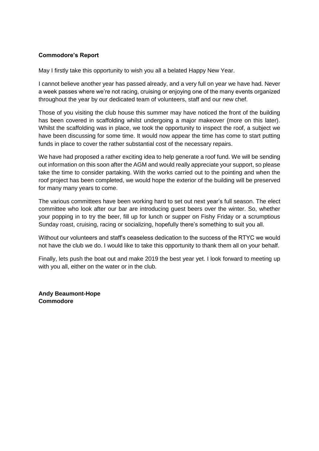# **Commodore's Report**

May I firstly take this opportunity to wish you all a belated Happy New Year.

I cannot believe another year has passed already, and a very full on year we have had. Never a week passes where we're not racing, cruising or enjoying one of the many events organized throughout the year by our dedicated team of volunteers, staff and our new chef.

Those of you visiting the club house this summer may have noticed the front of the building has been covered in scaffolding whilst undergoing a major makeover (more on this later). Whilst the scaffolding was in place, we took the opportunity to inspect the roof, a subject we have been discussing for some time. It would now appear the time has come to start putting funds in place to cover the rather substantial cost of the necessary repairs.

We have had proposed a rather exciting idea to help generate a roof fund. We will be sending out information on this soon after the AGM and would really appreciate your support, so please take the time to consider partaking. With the works carried out to the pointing and when the roof project has been completed, we would hope the exterior of the building will be preserved for many many years to come.

The various committees have been working hard to set out next year's full season. The elect committee who look after our bar are introducing guest beers over the winter. So, whether your popping in to try the beer, fill up for lunch or supper on Fishy Friday or a scrumptious Sunday roast, cruising, racing or socializing, hopefully there's something to suit you all.

Without our volunteers and staff's ceaseless dedication to the success of the RTYC we would not have the club we do. I would like to take this opportunity to thank them all on your behalf.

Finally, lets push the boat out and make 2019 the best year yet. I look forward to meeting up with you all, either on the water or in the club.

**Andy Beaumont-Hope Commodore**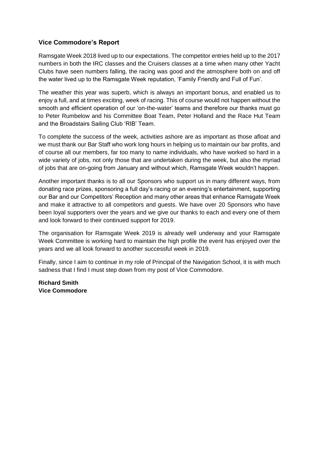# **Vice Commodore's Report**

Ramsgate Week 2018 lived up to our expectations. The competitor entries held up to the 2017 numbers in both the IRC classes and the Cruisers classes at a time when many other Yacht Clubs have seen numbers falling, the racing was good and the atmosphere both on and off the water lived up to the Ramsgate Week reputation, 'Family Friendly and Full of Fun'.

The weather this year was superb, which is always an important bonus, and enabled us to enjoy a full, and at times exciting, week of racing. This of course would not happen without the smooth and efficient operation of our 'on-the-water' teams and therefore our thanks must go to Peter Rumbelow and his Committee Boat Team, Peter Holland and the Race Hut Team and the Broadstairs Sailing Club 'RIB' Team.

To complete the success of the week, activities ashore are as important as those afloat and we must thank our Bar Staff who work long hours in helping us to maintain our bar profits, and of course all our members, far too many to name individuals, who have worked so hard in a wide variety of jobs, not only those that are undertaken during the week, but also the myriad of jobs that are on-going from January and without which, Ramsgate Week wouldn't happen.

Another important thanks is to all our Sponsors who support us in many different ways, from donating race prizes, sponsoring a full day's racing or an evening's entertainment, supporting our Bar and our Competitors' Reception and many other areas that enhance Ramsgate Week and make it attractive to all competitors and guests. We have over 20 Sponsors who have been loyal supporters over the years and we give our thanks to each and every one of them and look forward to their continued support for 2019.

The organisation for Ramsgate Week 2019 is already well underway and your Ramsgate Week Committee is working hard to maintain the high profile the event has enjoyed over the years and we all look forward to another successful week in 2019.

Finally, since I aim to continue in my role of Principal of the Navigation School, it is with much sadness that I find I must step down from my post of Vice Commodore.

**Richard Smith Vice Commodore**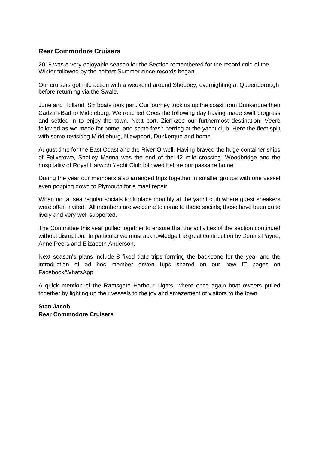# **Rear Commodore Cruisers**

2018 was a very enjoyable season for the Section remembered for the record cold of the Winter followed by the hottest Summer since records began.

Our cruisers got into action with a weekend around Sheppey, overnighting at Queenborough before returning via the Swale.

June and Holland. Six boats took part. Our journey took us up the coast from Dunkerque then Cadzan-Bad to Middleburg. We reached Goes the following day having made swift progress and settled in to enjoy the town. Next port, Zierikzee our furthermost destination. Veere followed as we made for home, and some fresh herring at the yacht club. Here the fleet split with some revisiting Middleburg, Niewpoort, Dunkerque and home.

August time for the East Coast and the River Orwell. Having braved the huge container ships of Felixstowe, Shotley Marina was the end of the 42 mile crossing. Woodbridge and the hospitality of Royal Harwich Yacht Club followed before our passage home.

During the year our members also arranged trips together in smaller groups with one vessel even popping down to Plymouth for a mast repair.

When not at sea regular socials took place monthly at the yacht club where guest speakers were often invited. All members are welcome to come to these socials; these have been quite lively and very well supported.

The Committee this year pulled together to ensure that the activities of the section continued without disruption. In particular we must acknowledge the great contribution by Dennis Payne, Anne Peers and Elizabeth Anderson.

Next season's plans include 8 fixed date trips forming the backbone for the year and the introduction of ad hoc member driven trips shared on our new IT pages on Facebook/WhatsApp.

A quick mention of the Ramsgate Harbour Lights, where once again boat owners pulled together by lighting up their vessels to the joy and amazement of visitors to the town.

**Stan Jacob Rear Commodore Cruisers**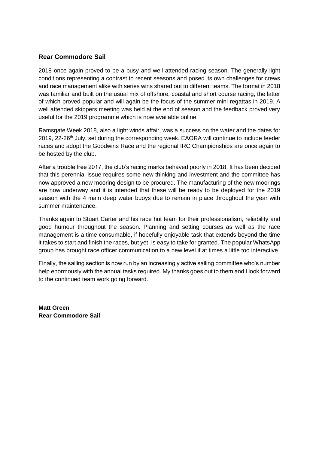# **Rear Commodore Sail**

2018 once again proved to be a busy and well attended racing season. The generally light conditions representing a contrast to recent seasons and posed its own challenges for crews and race management alike with series wins shared out to different teams. The format in 2018 was familiar and built on the usual mix of offshore, coastal and short course racing, the latter of which proved popular and will again be the focus of the summer mini-regattas in 2019. A well attended skippers meeting was held at the end of season and the feedback proved very useful for the 2019 programme which is now available online.

Ramsgate Week 2018, also a light winds affair, was a success on the water and the dates for 2019, 22-26<sup>th</sup> July, set during the corresponding week. EAORA will continue to include feeder races and adopt the Goodwins Race and the regional IRC Championships are once again to be hosted by the club.

After a trouble free 2017, the club's racing marks behaved poorly in 2018. It has been decided that this perennial issue requires some new thinking and investment and the committee has now approved a new mooring design to be procured. The manufacturing of the new moorings are now underway and it is intended that these will be ready to be deployed for the 2019 season with the 4 main deep water buoys due to remain in place throughout the year with summer maintenance.

Thanks again to Stuart Carter and his race hut team for their professionalism, reliability and good humour throughout the season. Planning and setting courses as well as the race management is a time consumable, if hopefully enjoyable task that extends beyond the time it takes to start and finish the races, but yet, is easy to take for granted. The popular WhatsApp group has brought race officer communication to a new level if at times a little too interactive.

Finally, the sailing section is now run by an increasingly active sailing committee who's number help enormously with the annual tasks required. My thanks goes out to them and I look forward to the continued team work going forward.

**Matt Green Rear Commodore Sail**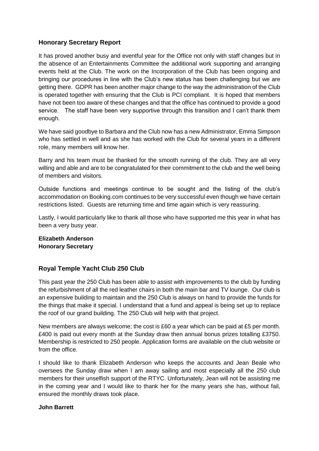# **Honorary Secretary Report**

It has proved another busy and eventful year for the Office not only with staff changes but in the absence of an Entertainments Committee the additional work supporting and arranging events held at the Club. The work on the Incorporation of the Club has been ongoing and bringing our procedures in line with the Club's new status has been challenging but we are getting there. GDPR has been another major change to the way the administration of the Club is operated together with ensuring that the Club is PCI compliant. It is hoped that members have not been too aware of these changes and that the office has continued to provide a good service. The staff have been very supportive through this transition and I can't thank them enough.

We have said goodbye to Barbara and the Club now has a new Administrator, Emma Simpson who has settled in well and as she has worked with the Club for several years in a different role, many members will know her.

Barry and his team must be thanked for the smooth running of the club. They are all very willing and able and are to be congratulated for their commitment to the club and the well being of members and visitors.

Outside functions and meetings continue to be sought and the listing of the club's accommodation on Booking.com continues to be very successful even though we have certain restrictions listed. Guests are returning time and time again which is very reassuring.

Lastly, I would particularly like to thank all those who have supported me this year in what has been a very busy year.

**Elizabeth Anderson Honorary Secretary**

# **Royal Temple Yacht Club 250 Club**

This past year the 250 Club has been able to assist with improvements to the club by funding the refurbishment of all the red leather chairs in both the main bar and TV lounge. Our club is an expensive building to maintain and the 250 Club is always on hand to provide the funds for the things that make it special. I understand that a fund and appeal is being set up to replace the roof of our grand building. The 250 Club will help with that project.

New members are always welcome; the cost is £60 a year which can be paid at £5 per month. £400 is paid out every month at the Sunday draw then annual bonus prizes totalling £3750. Membership is restricted to 250 people. Application forms are available on the club website or from the office.

I should like to thank Elizabeth Anderson who keeps the accounts and Jean Beale who oversees the Sunday draw when I am away sailing and most especially all the 250 club members for their unselfish support of the RTYC. Unfortunately, Jean will not be assisting me in the coming year and I would like to thank her for the many years she has, without fail, ensured the monthly draws took place.

#### **John Barrett**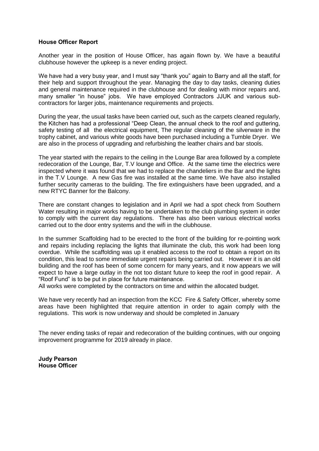#### **House Officer Report**

Another year in the position of House Officer, has again flown by. We have a beautiful clubhouse however the upkeep is a never ending project.

We have had a very busy year, and I must say "thank you" again to Barry and all the staff, for their help and support throughout the year. Managing the day to day tasks, cleaning duties and general maintenance required in the clubhouse and for dealing with minor repairs and, many smaller "in house" jobs. We have employed Contractors JJUK and various subcontractors for larger jobs, maintenance requirements and projects.

During the year, the usual tasks have been carried out, such as the carpets cleaned regularly, the Kitchen has had a professional "Deep Clean, the annual check to the roof and guttering, safety testing of all the electrical equipment, The regular cleaning of the silverware in the trophy cabinet, and various white goods have been purchased including a Tumble Dryer. We are also in the process of upgrading and refurbishing the leather chairs and bar stools.

The year started with the repairs to the ceiling in the Lounge Bar area followed by a complete redecoration of the Lounge, Bar, T.V lounge and Office. At the same time the electrics were inspected where it was found that we had to replace the chandeliers in the Bar and the lights in the T.V Lounge. A new Gas fire was installed at the same time. We have also installed further security cameras to the building. The fire extinguishers have been upgraded, and a new RTYC Banner for the Balcony.

There are constant changes to legislation and in April we had a spot check from Southern Water resulting in major works having to be undertaken to the club plumbing system in order to comply with the current day regulations. There has also been various electrical works carried out to the door entry systems and the wifi in the clubhouse.

In the summer Scaffolding had to be erected to the front of the building for re-pointing work and repairs including replacing the lights that illuminate the club, this work had been long overdue. While the scaffolding was up it enabled access to the roof to obtain a report on its condition, this lead to some immediate urgent repairs being carried out. However it is an old building and the roof has been of some concern for many years, and it now appears we will expect to have a large outlay in the not too distant future to keep the roof in good repair. A "Roof Fund" is to be put in place for future maintenance.

All works were completed by the contractors on time and within the allocated budget.

We have very recently had an inspection from the KCC Fire & Safety Officer, whereby some areas have been highlighted that require attention in order to again comply with the regulations. This work is now underway and should be completed in January

The never ending tasks of repair and redecoration of the building continues, with our ongoing improvement programme for 2019 already in place.

**Judy Pearson House Officer**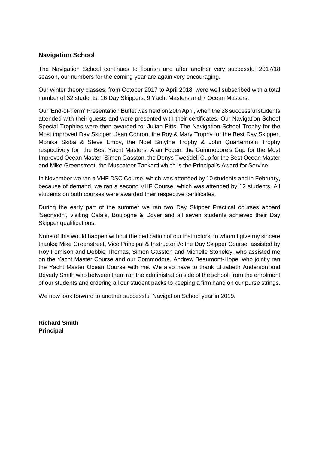# **Navigation School**

The Navigation School continues to flourish and after another very successful 2017/18 season, our numbers for the coming year are again very encouraging.

Our winter theory classes, from October 2017 to April 2018, were well subscribed with a total number of 32 students, 16 Day Skippers, 9 Yacht Masters and 7 Ocean Masters.

Our 'End-of-Term' Presentation Buffet was held on 20th April, when the 28 successful students attended with their guests and were presented with their certificates. Our Navigation School Special Trophies were then awarded to: Julian Pitts, The Navigation School Trophy for the Most improved Day Skipper, Jean Conron, the Roy & Mary Trophy for the Best Day Skipper, Monika Skiba & Steve Emby, the Noel Smythe Trophy & John Quartermain Trophy respectively for the Best Yacht Masters, Alan Foden, the Commodore's Cup for the Most Improved Ocean Master, Simon Gasston, the Denys Tweddell Cup for the Best Ocean Master and Mike Greenstreet, the Muscateer Tankard which is the Principal's Award for Service.

In November we ran a VHF DSC Course, which was attended by 10 students and in February, because of demand, we ran a second VHF Course, which was attended by 12 students. All students on both courses were awarded their respective certificates.

During the early part of the summer we ran two Day Skipper Practical courses aboard 'Seonaidh', visiting Calais, Boulogne & Dover and all seven students achieved their Day Skipper qualifications.

None of this would happen without the dedication of our instructors, to whom I give my sincere thanks; Mike Greenstreet, Vice Principal & Instructor i/c the Day Skipper Course, assisted by Roy Fomison and Debbie Thomas, Simon Gasston and Michelle Stoneley, who assisted me on the Yacht Master Course and our Commodore, Andrew Beaumont-Hope, who jointly ran the Yacht Master Ocean Course with me. We also have to thank Elizabeth Anderson and Beverly Smith who between them ran the administration side of the school, from the enrolment of our students and ordering all our student packs to keeping a firm hand on our purse strings.

We now look forward to another successful Navigation School year in 2019.

**Richard Smith Principal**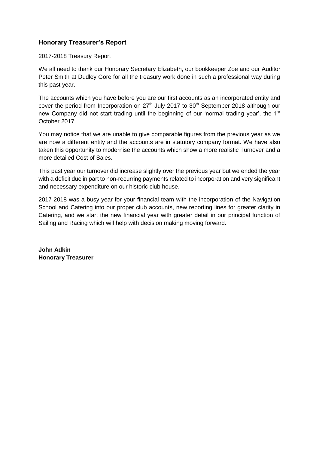# **Honorary Treasurer's Report**

#### 2017-2018 Treasury Report

We all need to thank our Honorary Secretary Elizabeth, our bookkeeper Zoe and our Auditor Peter Smith at Dudley Gore for all the treasury work done in such a professional way during this past year.

The accounts which you have before you are our first accounts as an incorporated entity and cover the period from Incorporation on 27<sup>th</sup> July 2017 to 30<sup>th</sup> September 2018 although our new Company did not start trading until the beginning of our 'normal trading year', the 1<sup>st</sup> October 2017.

You may notice that we are unable to give comparable figures from the previous year as we are now a different entity and the accounts are in statutory company format. We have also taken this opportunity to modernise the accounts which show a more realistic Turnover and a more detailed Cost of Sales.

This past year our turnover did increase slightly over the previous year but we ended the year with a deficit due in part to non-recurring payments related to incorporation and very significant and necessary expenditure on our historic club house.

2017-2018 was a busy year for your financial team with the incorporation of the Navigation School and Catering into our proper club accounts, new reporting lines for greater clarity in Catering, and we start the new financial year with greater detail in our principal function of Sailing and Racing which will help with decision making moving forward.

**John Adkin Honorary Treasurer**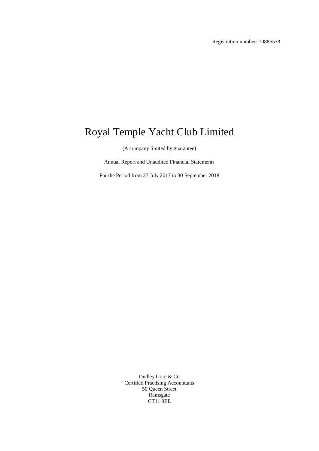Registration number: 10886538

# Royal Temple Yacht Club Limited

(A company limited by guarantee)

Annual Report and Unaudited Financial Statements

For the Period from 27 July 2017 to 30 September 2018

Dudley Gore & Co Certified Practising Accountants 50 Queen Street Ramsgate CT11 9EE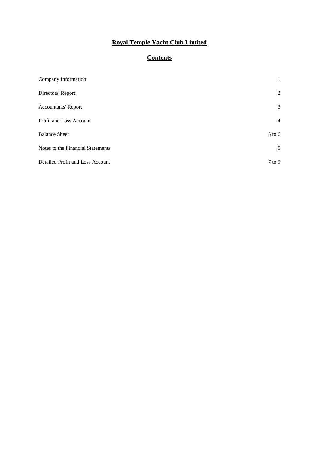# **Contents**

| Company Information               | $\mathbf{1}$   |
|-----------------------------------|----------------|
| Directors' Report                 | 2              |
| <b>Accountants' Report</b>        | 3              |
| Profit and Loss Account           | $\overline{4}$ |
| <b>Balance Sheet</b>              | 5 to 6         |
| Notes to the Financial Statements | 5              |
| Detailed Profit and Loss Account  | $7$ to $9$     |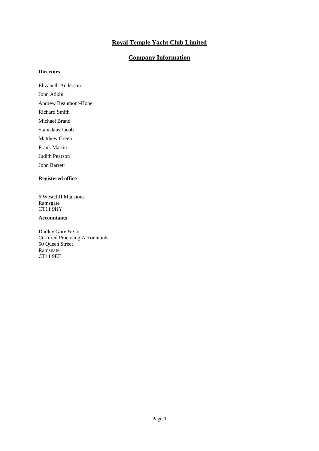## **Company Information**

#### **Directors**

Elizabeth Anderson

John Adkin

Andrew Beaumont-Hope

Richard Smith

Michael Brand

Stanislaus Jacob

Matthew Green

Frank Martin

Judith Pearson

John Barrett

#### **Registered office**

6 Westcliff Mansions Ramsgate CT11 9HY

#### **Accountants**

Dudley Gore & Co Certified Practising Accountants 50 Queen Street Ramsgate CT11 9EE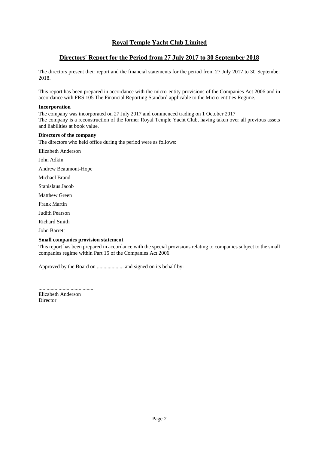#### **Directors' Report for the Period from 27 July 2017 to 30 September 2018**

The directors present their report and the financial statements for the period from 27 July 2017 to 30 September 2018.

This report has been prepared in accordance with the micro-entity provisions of the Companies Act 2006 and in accordance with FRS 105 The Financial Reporting Standard applicable to the Micro-entities Regime.

#### **Incorporation**

The company was incorporated on 27 July 2017 and commenced trading on 1 October 2017 The company is a reconstruction of the former Royal Temple Yacht Club, having taken over all previous assets and liabilities at book value.

#### **Directors of the company**

The directors who held office during the period were as follows:

Elizabeth Anderson

John Adkin

Andrew Beaumont-Hope

Michael Brand

Stanislaus Jacob

Matthew Green

Frank Martin

Judith Pearson

Richard Smith

John Barrett

#### **Small companies provision statement**

This report has been prepared in accordance with the special provisions relating to companies subject to the small companies regime within Part 15 of the Companies Act 2006.

Approved by the Board on .................... and signed on its behalf by:

.........................................

Elizabeth Anderson **Director**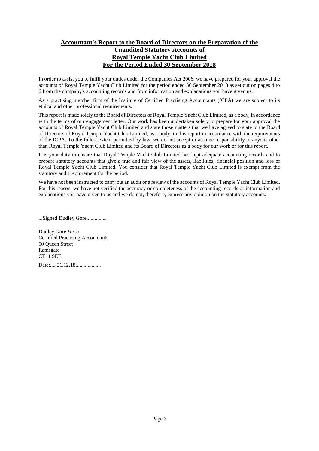# **Accountant's Report to the Board of Directors on the Preparation of the Unaudited Statutory Accounts of Royal Temple Yacht Club Limited For the Period Ended 30 September 2018**

In order to assist you to fulfil your duties under the Companies Act 2006, we have prepared for your approval the accounts of Royal Temple Yacht Club Limited for the period ended 30 September 2018 as set out on pages 4 to 6 from the company's accounting records and from information and explanations you have given us.

As a practising member firm of the Institute of Certified Practising Accountants (ICPA) we are subject to its ethical and other professional requirements.

This report is made solely to the Board of Directors of Royal Temple Yacht Club Limited, as a body, in accordance with the terms of our engagement letter. Our work has been undertaken solely to prepare for your approval the accounts of Royal Temple Yacht Club Limited and state those matters that we have agreed to state to the Board of Directors of Royal Temple Yacht Club Limited, as a body, in this report in accordance with the requirements of the ICPA. To the fullest extent permitted by law, we do not accept or assume responsibility to anyone other than Royal Temple Yacht Club Limited and its Board of Directors as a body for our work or for this report.

It is your duty to ensure that Royal Temple Yacht Club Limited has kept adequate accounting records and to prepare statutory accounts that give a true and fair view of the assets, liabilities, financial position and loss of Royal Temple Yacht Club Limited. You consider that Royal Temple Yacht Club Limited is exempt from the statutory audit requirement for the period.

We have not been instructed to carry out an audit or a review of the accounts of Royal Temple Yacht Club Limited. For this reason, we have not verified the accuracy or completeness of the accounting records or information and explanations you have given to us and we do not, therefore, express any opinion on the statutory accounts.

...Signed Dudley Gore...............

Dudley Gore & Co Certified Practising Accountants 50 Queen Street Ramsgate CT11 9EE Date:.....21.12.18...................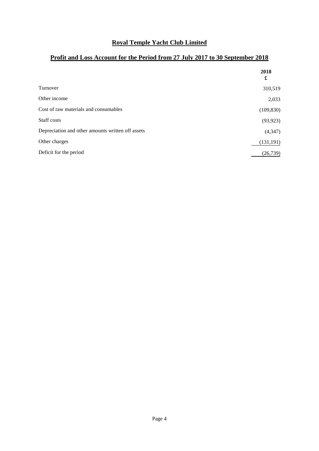# **Profit and Loss Account for the Period from 27 July 2017 to 30 September 2018**

|                                                   | 2018<br>£  |
|---------------------------------------------------|------------|
| Turnover                                          | 310,519    |
| Other income                                      | 2,033      |
| Cost of raw materials and consumables             | (109, 830) |
| Staff costs                                       | (93, 923)  |
| Depreciation and other amounts written off assets | (4, 347)   |
| Other charges                                     | (131, 191) |
| Deficit for the period                            | (26, 739)  |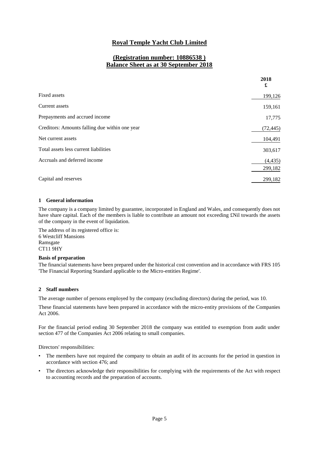# **(Registration number: 10886538 ) Balance Sheet as at 30 September 2018**

|                                                | 2018<br>£ |
|------------------------------------------------|-----------|
| Fixed assets                                   | 199,126   |
| Current assets                                 | 159,161   |
| Prepayments and accrued income                 | 17,775    |
| Creditors: Amounts falling due within one year | (72, 445) |
| Net current assets                             | 104,491   |
| Total assets less current liabilities          | 303,617   |
| Accruals and deferred income                   | (4, 435)  |
|                                                | 299,182   |
| Capital and reserves                           | 299,182   |

#### **1 General information**

The company is a company limited by guarantee, incorporated in England and Wales, and consequently does not have share capital. Each of the members is liable to contribute an amount not exceeding £Nil towards the assets of the company in the event of liquidation.

The address of its registered office is: 6 Westcliff Mansions Ramsgate CT11 9HY

#### **Basis of preparation**

The financial statements have been prepared under the historical cost convention and in accordance with FRS 105 'The Financial Reporting Standard applicable to the Micro-entities Regime'.

#### **2 Staff numbers**

The average number of persons employed by the company (excluding directors) during the period, was 10.

These financial statements have been prepared in accordance with the micro-entity provisions of the Companies Act 2006.

For the financial period ending 30 September 2018 the company was entitled to exemption from audit under section 477 of the Companies Act 2006 relating to small companies.

Directors' responsibilities:

- The members have not required the company to obtain an audit of its accounts for the period in question in accordance with section 476; and
- The directors acknowledge their responsibilities for complying with the requirements of the Act with respect to accounting records and the preparation of accounts.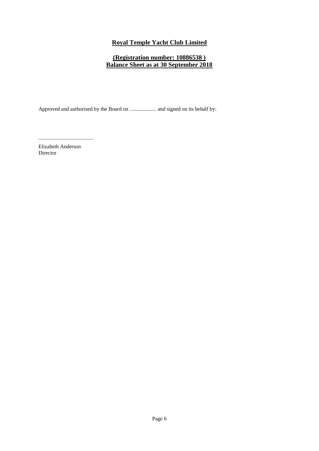# **(Registration number: 10886538 ) Balance Sheet as at 30 September 2018**

Approved and authorised by the Board on .................... and signed on its behalf by:

.........................................

Elizabeth Anderson Director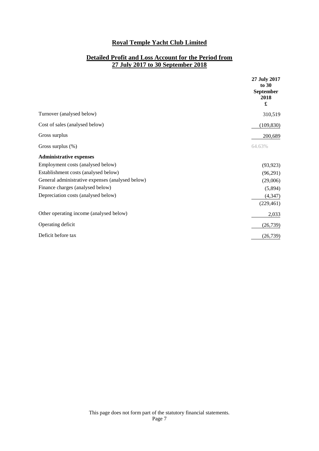# **Detailed Profit and Loss Account for the Period from 27 July 2017 to 30 September 2018**

|                                                  | 27 July 2017<br>to 30<br>September<br>2018<br>£ |
|--------------------------------------------------|-------------------------------------------------|
| Turnover (analysed below)                        | 310,519                                         |
| Cost of sales (analysed below)                   | (109, 830)                                      |
| Gross surplus                                    | 200,689                                         |
| Gross surplus $(\%)$                             | 64.63%                                          |
| <b>Administrative expenses</b>                   |                                                 |
| Employment costs (analysed below)                | (93, 923)                                       |
| Establishment costs (analysed below)             | (96,291)                                        |
| General administrative expenses (analysed below) | (29,006)                                        |
| Finance charges (analysed below)                 | (5,894)                                         |
| Depreciation costs (analysed below)              | (4, 347)                                        |
|                                                  | (229, 461)                                      |
| Other operating income (analysed below)          | 2,033                                           |
| Operating deficit                                | (26, 739)                                       |
| Deficit before tax                               | (26, 739)                                       |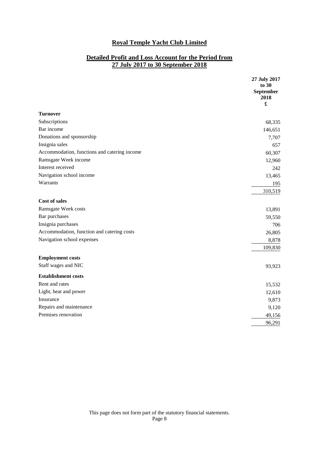# **Detailed Profit and Loss Account for the Period from 27 July 2017 to 30 September 2018**

|                                              | 27 July 2017<br>to 30<br>September<br>2018<br>£ |
|----------------------------------------------|-------------------------------------------------|
| <b>Turnover</b>                              |                                                 |
| Subscriptions                                | 68,335                                          |
| Bar income                                   | 146,651                                         |
| Donations and sponsorship                    | 7,707                                           |
| Insignia sales                               | 657                                             |
| Accommodation, functions and catering income | 60,307                                          |
| Ramsgate Week income                         | 12,960                                          |
| Interest received                            | 242                                             |
| Navigation school income                     | 13,465                                          |
| Warrants                                     | 195                                             |
|                                              | 310,519                                         |
| <b>Cost of sales</b>                         |                                                 |
| Ramsgate Week costs                          | 13,891                                          |
| Bar purchases                                | 59,550                                          |
| Insignia purchases                           | 706                                             |
| Accommodation, function and catering costs   | 26,805                                          |
| Navigation school expenses                   | 8,878                                           |
|                                              | 109,830                                         |
| <b>Employment costs</b>                      |                                                 |
| Staff wages and NIC                          | 93,923                                          |
| <b>Establishment costs</b>                   |                                                 |
| Rent and rates                               | 15,532                                          |
| Light, heat and power                        | 12,610                                          |
| Insurance                                    | 9,873                                           |
| Repairs and maintenance                      | 9,120                                           |
| Premises renovation                          | 49,156                                          |
|                                              | 96,291                                          |